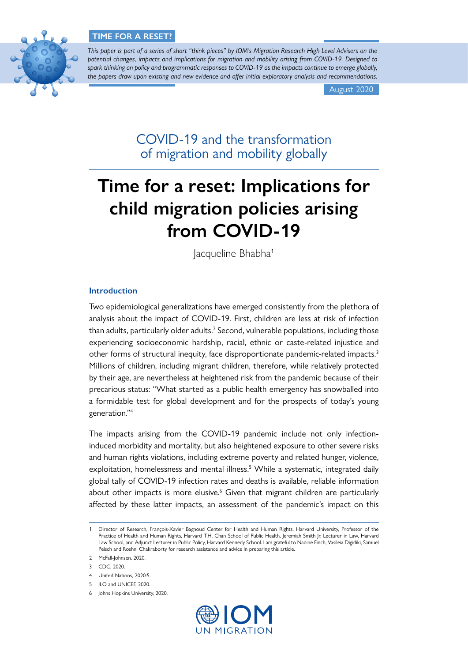# **TIME FOR A RESET?**



*This paper is part of a series of short "think pieces" by IOM's Migration Research High Level Advisers on the potential changes, impacts and implications for migration and mobility arising from COVID-19. Designed to spark thinking on policy and programmatic responses to COVID-19 as the impacts continue to emerge globally, the papers draw upon existing and new evidence and offer initial exploratory analysis and recommendations.*

August 2020

COVID-19 and the transformation of migration and mobility globally

# **Time for a reset: Implications for child migration policies arising from COVID-19**

lacqueline Bhabha<sup>1</sup>

# **Introduction**

Two epidemiological generalizations have emerged consistently from the plethora of analysis about the impact of COVID-19. First, children are less at risk of infection than adults, particularly older adults.<sup>2</sup> Second, vulnerable populations, including those experiencing socioeconomic hardship, racial, ethnic or caste-related injustice and other forms of structural inequity, face disproportionate pandemic-related impacts.3 Millions of children, including migrant children, therefore, while relatively protected by their age, are nevertheless at heightened risk from the pandemic because of their precarious status: "What started as a public health emergency has snowballed into a formidable test for global development and for the prospects of today's young generation."4

The impacts arising from the COVID-19 pandemic include not only infectioninduced morbidity and mortality, but also heightened exposure to other severe risks and human rights violations, including extreme poverty and related hunger, violence, exploitation, homelessness and mental illness.<sup>5</sup> While a systematic, integrated daily global tally of COVID-19 infection rates and deaths is available, reliable information about other impacts is more elusive.<sup>6</sup> Given that migrant children are particularly affected by these latter impacts, an assessment of the pandemic's impact on this

<sup>6</sup> Johns Hopkins University, 2020.



<sup>1</sup> Director of Research, François-Xavier Bagnoud Center for Health and Human Rights, Harvard University, Professor of the Practice of Health and Human Rights, Harvard T.H. Chan School of Public Health, Jeremiah Smith Jr. Lecturer in Law, Harvard Law School, and Adjunct Lecturer in Public Policy, Harvard Kennedy School. I am grateful to Nadine Finch, Vasileia Digidiki, Samuel Peisch and Roshni Chakraborty for research assistance and advice in preparing this article.

<sup>2</sup> McFall-Johnsen, 2020.

<sup>3</sup> CDC, 2020.

<sup>4</sup> United Nations, 2020:5.

<sup>5</sup> ILO and UNICEF, 2020.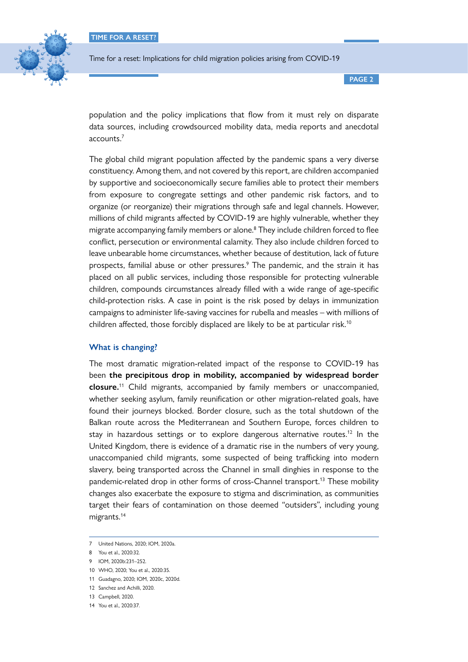

**PAGE 2**

population and the policy implications that flow from it must rely on disparate data sources, including crowdsourced mobility data, media reports and anecdotal accounts.7

The global child migrant population affected by the pandemic spans a very diverse constituency. Among them, and not covered by this report, are children accompanied by supportive and socioeconomically secure families able to protect their members from exposure to congregate settings and other pandemic risk factors, and to organize (or reorganize) their migrations through safe and legal channels. However, millions of child migrants affected by COVID-19 are highly vulnerable, whether they migrate accompanying family members or alone.8 They include children forced to flee conflict, persecution or environmental calamity. They also include children forced to leave unbearable home circumstances, whether because of destitution, lack of future prospects, familial abuse or other pressures.<sup>9</sup> The pandemic, and the strain it has placed on all public services, including those responsible for protecting vulnerable children, compounds circumstances already filled with a wide range of age-specific child-protection risks. A case in point is the risk posed by delays in immunization campaigns to administer life-saving vaccines for rubella and measles – with millions of children affected, those forcibly displaced are likely to be at particular risk.<sup>10</sup>

# **What is changing?**

The most dramatic migration-related impact of the response to COVID-19 has been **the precipitous drop in mobility, accompanied by widespread border closure.**11 Child migrants, accompanied by family members or unaccompanied, whether seeking asylum, family reunification or other migration-related goals, have found their journeys blocked. Border closure, such as the total shutdown of the Balkan route across the Mediterranean and Southern Europe, forces children to stay in hazardous settings or to explore dangerous alternative routes.<sup>12</sup> In the United Kingdom, there is evidence of a dramatic rise in the numbers of very young, unaccompanied child migrants, some suspected of being trafficking into modern slavery, being transported across the Channel in small dinghies in response to the pandemic-related drop in other forms of cross-Channel transport.<sup>13</sup> These mobility changes also exacerbate the exposure to stigma and discrimination, as communities target their fears of contamination on those deemed "outsiders", including young migrants.14

<sup>7</sup> United Nations, 2020; IOM, 2020a.

<sup>8</sup> You et al., 2020:32.

<sup>9</sup> IOM, 2020b:231–252.

<sup>10</sup> WHO, 2020; You et al., 2020:35.

<sup>11</sup> Guadagno, 2020; IOM, 2020c, 2020d.

<sup>12</sup> Sanchez and Achilli, 2020.

<sup>13</sup> Campbell, 2020.

<sup>14</sup> You et al., 2020:37.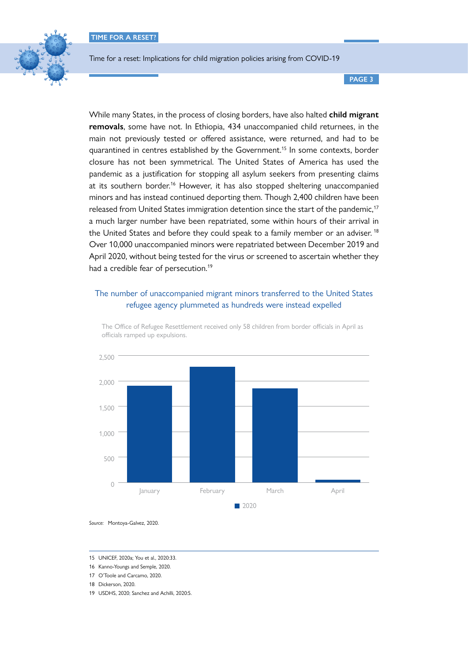

**PAGE 3**

While many States, in the process of closing borders, have also halted **child migrant removals**, some have not. In Ethiopia, 434 unaccompanied child returnees, in the main not previously tested or offered assistance, were returned, and had to be quarantined in centres established by the Government.<sup>15</sup> In some contexts, border closure has not been symmetrical. The United States of America has used the pandemic as a justification for stopping all asylum seekers from presenting claims at its southern border.<sup>16</sup> However, it has also stopped sheltering unaccompanied minors and has instead continued deporting them. Though 2,400 children have been released from United States immigration detention since the start of the pandemic,<sup>17</sup> a much larger number have been repatriated, some within hours of their arrival in the United States and before they could speak to a family member or an adviser.<sup>18</sup> Over 10,000 unaccompanied minors were repatriated between December 2019 and April 2020, without being tested for the virus or screened to ascertain whether they had a credible fear of persecution.<sup>19</sup>

# The number of unaccompanied migrant minors transferred to the United States refugee agency plummeted as hundreds were instead expelled



The Office of Refugee Resettlement received only 58 children from border officials in April as officials ramped up expulsions.

*Source:* Montoya-Galvez, 2020.

15 UNICEF, 2020a; You et al., 2020:33.

16 Kanno-Youngs and Semple, 2020.

17 O'Toole and Carcamo, 2020.

18 Dickerson, 2020.

19 USDHS, 2020; Sanchez and Achilli, 2020:5.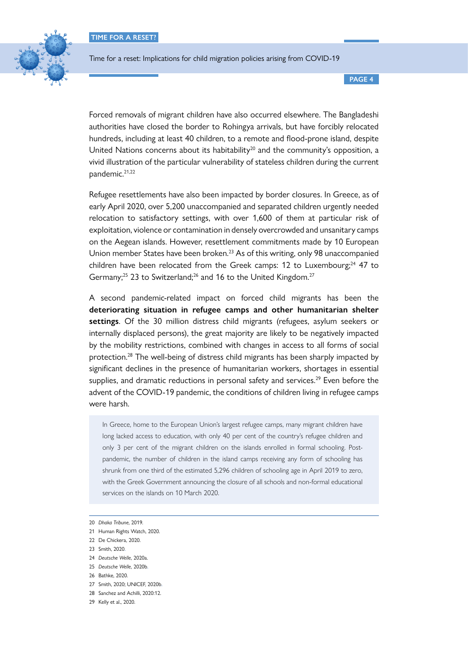**TIME FOR A RESET?**



Time for a reset: Implications for child migration policies arising from COVID-19

**PAGE 4**

Forced removals of migrant children have also occurred elsewhere. The Bangladeshi authorities have closed the border to Rohingya arrivals, but have forcibly relocated hundreds, including at least 40 children, to a remote and flood-prone island, despite United Nations concerns about its habitability<sup>20</sup> and the community's opposition, a vivid illustration of the particular vulnerability of stateless children during the current pandemic.<sup>21,22</sup>

Refugee resettlements have also been impacted by border closures. In Greece, as of early April 2020, over 5,200 unaccompanied and separated children urgently needed relocation to satisfactory settings, with over 1,600 of them at particular risk of exploitation, violence or contamination in densely overcrowded and unsanitary camps on the Aegean islands. However, resettlement commitments made by 10 European Union member States have been broken.<sup>23</sup> As of this writing, only 98 unaccompanied children have been relocated from the Greek camps: 12 to Luxembourg; $^{24}$  47 to Germany;<sup>25</sup> 23 to Switzerland;<sup>26</sup> and 16 to the United Kingdom.<sup>27</sup>

A second pandemic-related impact on forced child migrants has been the **deteriorating situation in refugee camps and other humanitarian shelter settings**. Of the 30 million distress child migrants (refugees, asylum seekers or internally displaced persons), the great majority are likely to be negatively impacted by the mobility restrictions, combined with changes in access to all forms of social protection.28 The well-being of distress child migrants has been sharply impacted by significant declines in the presence of humanitarian workers, shortages in essential supplies, and dramatic reductions in personal safety and services.<sup>29</sup> Even before the advent of the COVID-19 pandemic, the conditions of children living in refugee camps were harsh.

In Greece, home to the European Union's largest refugee camps, many migrant children have long lacked access to education, with only 40 per cent of the country's refugee children and only 3 per cent of the migrant children on the islands enrolled in formal schooling. Postpandemic, the number of children in the island camps receiving any form of schooling has shrunk from one third of the estimated 5,296 children of schooling age in April 2019 to zero, with the Greek Government announcing the closure of all schools and non-formal educational services on the islands on 10 March 2020.

<sup>20</sup> *Dhaka Tribune*, 2019.

<sup>21</sup> Human Rights Watch, 2020.

<sup>22</sup> De Chickera, 2020.

<sup>23</sup> Smith, 2020.

<sup>24</sup> *Deutsche Welle*, 2020a.

<sup>25</sup> *Deutsche Welle*, 2020b.

<sup>26</sup> Bathke, 2020.

<sup>27</sup> Smith, 2020; UNICEF, 2020b.

<sup>28</sup> Sanchez and Achilli, 2020:12.

<sup>29</sup> Kelly et al., 2020.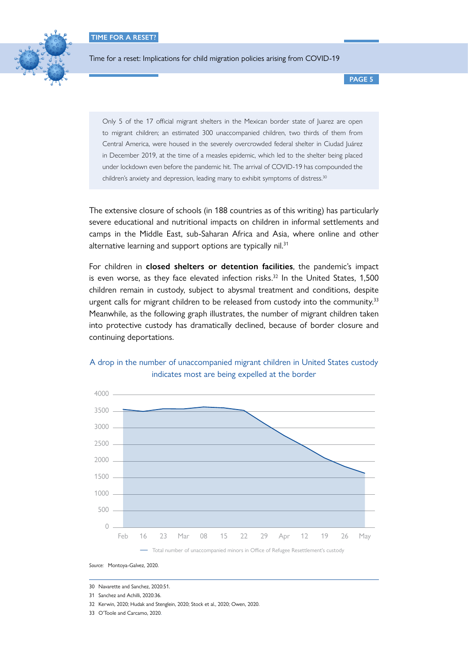

**PAGE 5**

Only 5 of the 17 official migrant shelters in the Mexican border state of Juarez are open to migrant children; an estimated 300 unaccompanied children, two thirds of them from Central America, were housed in the severely overcrowded federal shelter in Ciudad Juárez in December 2019, at the time of a measles epidemic, which led to the shelter being placed under lockdown even before the pandemic hit. The arrival of COVID-19 has compounded the children's anxiety and depression, leading many to exhibit symptoms of distress.<sup>30</sup>

The extensive closure of schools (in 188 countries as of this writing) has particularly severe educational and nutritional impacts on children in informal settlements and camps in the Middle East, sub-Saharan Africa and Asia, where online and other alternative learning and support options are typically nil.<sup>31</sup>

For children in **closed shelters or detention facilities**, the pandemic's impact is even worse, as they face elevated infection risks. $32$  In the United States, 1,500 children remain in custody, subject to abysmal treatment and conditions, despite urgent calls for migrant children to be released from custody into the community.<sup>33</sup> Meanwhile, as the following graph illustrates, the number of migrant children taken into protective custody has dramatically declined, because of border closure and continuing deportations.



# A drop in the number of unaccompanied migrant children in United States custody indicates most are being expelled at the border

30 Navarette and Sanchez, 2020:51.

- 31 Sanchez and Achilli, 2020:36.
- 
- 32 Kerwin, 2020; Hudak and Stenglein, 2020; Stock et al., 2020; Owen, 2020.
- 33 O'Toole and Carcamo, 2020.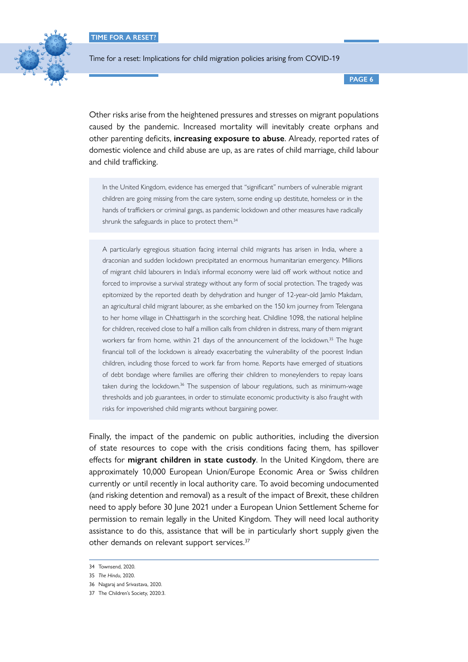

**PAGE 6**

Other risks arise from the heightened pressures and stresses on migrant populations caused by the pandemic. Increased mortality will inevitably create orphans and other parenting deficits, **increasing exposure to abuse**. Already, reported rates of domestic violence and child abuse are up, as are rates of child marriage, child labour and child trafficking.

In the United Kingdom, evidence has emerged that "significant" numbers of vulnerable migrant children are going missing from the care system, some ending up destitute, homeless or in the hands of traffickers or criminal gangs, as pandemic lockdown and other measures have radically shrunk the safeguards in place to protect them.<sup>34</sup>

A particularly egregious situation facing internal child migrants has arisen in India, where a draconian and sudden lockdown precipitated an enormous humanitarian emergency. Millions of migrant child labourers in India's informal economy were laid off work without notice and forced to improvise a survival strategy without any form of social protection. The tragedy was epitomized by the reported death by dehydration and hunger of 12-year-old Jamlo Makdam, an agricultural child migrant labourer, as she embarked on the 150 km journey from Telengana to her home village in Chhattisgarh in the scorching heat. Childline 1098, the national helpline for children, received close to half a million calls from children in distress, many of them migrant workers far from home, within 21 days of the announcement of the lockdown.<sup>35</sup> The huge financial toll of the lockdown is already exacerbating the vulnerability of the poorest Indian children, including those forced to work far from home. Reports have emerged of situations of debt bondage where families are offering their children to moneylenders to repay loans taken during the lockdown.<sup>36</sup> The suspension of labour regulations, such as minimum-wage thresholds and job guarantees, in order to stimulate economic productivity is also fraught with risks for impoverished child migrants without bargaining power.

Finally, the impact of the pandemic on public authorities, including the diversion of state resources to cope with the crisis conditions facing them, has spillover effects for **migrant children in state custody**. In the United Kingdom, there are approximately 10,000 European Union/Europe Economic Area or Swiss children currently or until recently in local authority care. To avoid becoming undocumented (and risking detention and removal) as a result of the impact of Brexit, these children need to apply before 30 June 2021 under a European Union Settlement Scheme for permission to remain legally in the United Kingdom. They will need local authority assistance to do this, assistance that will be in particularly short supply given the other demands on relevant support services.<sup>37</sup>

<sup>34</sup> Townsend, 2020.

<sup>35</sup> *The Hindu*, 2020.

<sup>36</sup> Nagaraj and Srivastava, 2020.

<sup>37</sup> The Children's Society, 2020:3.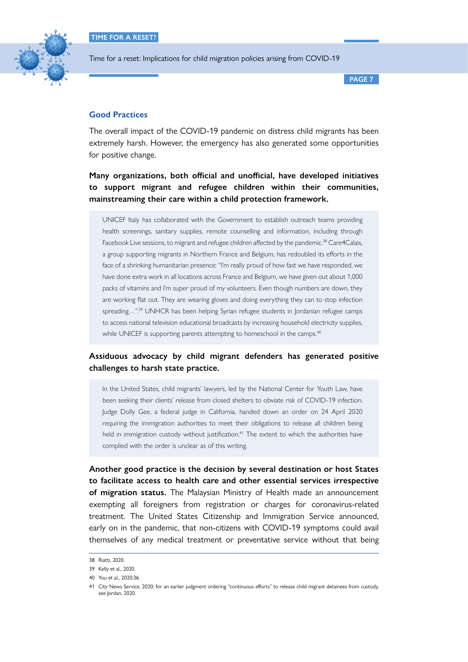

**PAGE 7**

# **Good Practices**

The overall impact of the COVID-19 pandemic on distress child migrants has been extremely harsh. However, the emergency has also generated some opportunities for positive change.

**Many organizations, both official and unofficial, have developed initiatives to support migrant and refugee children within their communities, mainstreaming their care within a child protection framework.** 

UNICEF Italy has collaborated with the Government to establish outreach teams providing health screenings, sanitary supplies, remote counselling and information, including through Facebook Live sessions, to migrant and refugee children affected by the pandemic.<sup>38</sup> Care4Calais, a group supporting migrants in Northern France and Belgium, has redoubled its efforts in the face of a shrinking humanitarian presence: "I'm really proud of how fast we have responded, we have done extra work in all locations across France and Belgium, we have given out about 1,000 packs of vitamins and I'm super proud of my volunteers. Even though numbers are down, they are working flat out. They are wearing gloves and doing everything they can to stop infection spreading...".<sup>39</sup> UNHCR has been helping Syrian refugee students in Jordanian refugee camps to access national television educational broadcasts by increasing household electricity supplies, while UNICEF is supporting parents attempting to homeschool in the camps.<sup>40</sup>

# **Assiduous advocacy by child migrant defenders has generated positive challenges to harsh state practice.**

In the United States, child migrants' lawyers, led by the National Center for Youth Law, have been seeking their clients' release from closed shelters to obviate risk of COVID-19 infection. Judge Dolly Gee, a federal judge in California, handed down an order on 24 April 2020 requiring the immigration authorities to meet their obligations to release all children being held in immigration custody without justification.<sup>41</sup> The extent to which the authorities have complied with the order is unclear as of this writing.

**Another good practice is the decision by several destination or host States to facilitate access to health care and other essential services irrespective of migration status.** The Malaysian Ministry of Health made an announcement exempting all foreigners from registration or charges for coronavirus-related treatment. The United States Citizenship and Immigration Service announced, early on in the pandemic, that non-citizens with COVID-19 symptoms could avail themselves of any medical treatment or preventative service without that being

<sup>38</sup> Riatti, 2020.

<sup>39</sup> Kelly et al., 2020.

<sup>40</sup> You et al., 2020:36.

<sup>41</sup> City News Service, 2020; for an earlier judgment ordering "continuous efforts" to release child migrant detainees from custody, see lordan, 2020.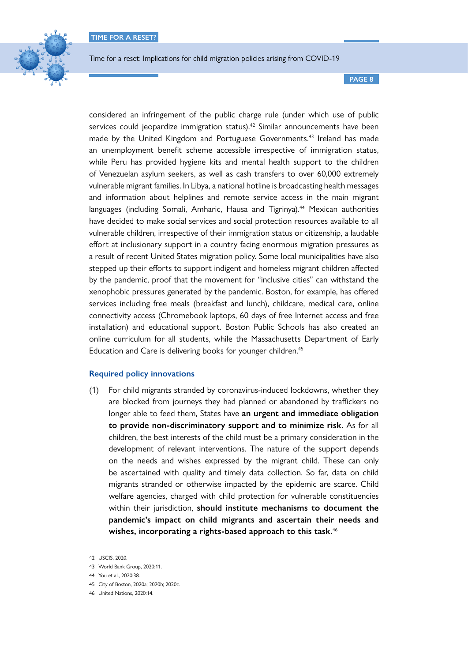

**PAGE 8**

considered an infringement of the public charge rule (under which use of public services could jeopardize immigration status).<sup>42</sup> Similar announcements have been made by the United Kingdom and Portuguese Governments.<sup>43</sup> Ireland has made an unemployment benefit scheme accessible irrespective of immigration status, while Peru has provided hygiene kits and mental health support to the children of Venezuelan asylum seekers, as well as cash transfers to over 60,000 extremely vulnerable migrant families. In Libya, a national hotline is broadcasting health messages and information about helplines and remote service access in the main migrant languages (including Somali, Amharic, Hausa and Tigrinya).<sup>44</sup> Mexican authorities have decided to make social services and social protection resources available to all vulnerable children, irrespective of their immigration status or citizenship, a laudable effort at inclusionary support in a country facing enormous migration pressures as a result of recent United States migration policy. Some local municipalities have also stepped up their efforts to support indigent and homeless migrant children affected by the pandemic, proof that the movement for "inclusive cities" can withstand the xenophobic pressures generated by the pandemic. Boston, for example, has offered services including free meals (breakfast and lunch), childcare, medical care, online connectivity access (Chromebook laptops, 60 days of free Internet access and free installation) and educational support. Boston Public Schools has also created an online curriculum for all students, while the Massachusetts Department of Early Education and Care is delivering books for younger children.<sup>45</sup>

# **Required policy innovations**

(1) For child migrants stranded by coronavirus-induced lockdowns, whether they are blocked from journeys they had planned or abandoned by traffickers no longer able to feed them, States have **an urgent and immediate obligation to provide non-discriminatory support and to minimize risk.** As for all children, the best interests of the child must be a primary consideration in the development of relevant interventions. The nature of the support depends on the needs and wishes expressed by the migrant child. These can only be ascertained with quality and timely data collection. So far, data on child migrants stranded or otherwise impacted by the epidemic are scarce. Child welfare agencies, charged with child protection for vulnerable constituencies within their jurisdiction, **should institute mechanisms to document the pandemic's impact on child migrants and ascertain their needs and wishes, incorporating a rights-based approach to this task.**46

<sup>42</sup> USCIS, 2020.

<sup>43</sup> World Bank Group, 2020:11.

<sup>44</sup> You et al., 2020:38.

<sup>45</sup> City of Boston, 2020a; 2020b; 2020c.

<sup>46</sup> United Nations, 2020:14.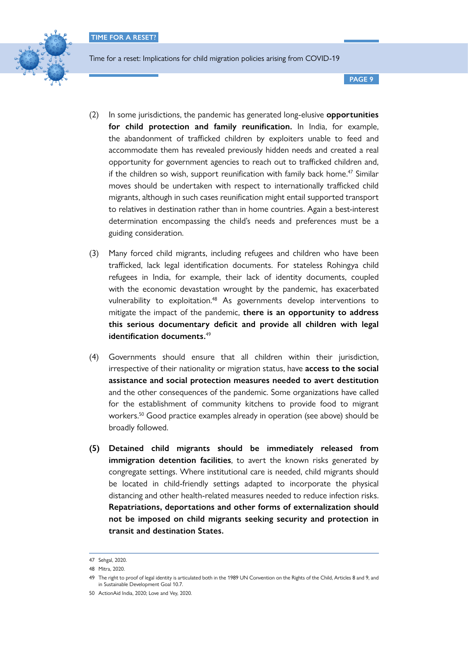

**PAGE 9**

- (2) In some jurisdictions, the pandemic has generated long-elusive **opportunities for child protection and family reunification.** In India, for example, the abandonment of trafficked children by exploiters unable to feed and accommodate them has revealed previously hidden needs and created a real opportunity for government agencies to reach out to trafficked children and, if the children so wish, support reunification with family back home.<sup>47</sup> Similar moves should be undertaken with respect to internationally trafficked child migrants, although in such cases reunification might entail supported transport to relatives in destination rather than in home countries. Again a best-interest determination encompassing the child's needs and preferences must be a guiding consideration.
- (3) Many forced child migrants, including refugees and children who have been trafficked, lack legal identification documents. For stateless Rohingya child refugees in India, for example, their lack of identity documents, coupled with the economic devastation wrought by the pandemic, has exacerbated vulnerability to exploitation.<sup>48</sup> As governments develop interventions to mitigate the impact of the pandemic, **there is an opportunity to address this serious documentary deficit and provide all children with legal identification documents.**<sup>49</sup>
- (4) Governments should ensure that all children within their jurisdiction, irrespective of their nationality or migration status, have **access to the social assistance and social protection measures needed to avert destitution** and the other consequences of the pandemic. Some organizations have called for the establishment of community kitchens to provide food to migrant workers.50 Good practice examples already in operation (see above) should be broadly followed.
- **(5) Detained child migrants should be immediately released from immigration detention facilities**, to avert the known risks generated by congregate settings. Where institutional care is needed, child migrants should be located in child-friendly settings adapted to incorporate the physical distancing and other health-related measures needed to reduce infection risks. **Repatriations, deportations and other forms of externalization should not be imposed on child migrants seeking security and protection in transit and destination States.**

<sup>47</sup> Sehgal, 2020.

<sup>48</sup> Mitra, 2020.

<sup>49</sup> The right to proof of legal identity is articulated both in the 1989 UN Convention on the Rights of the Child, Articles 8 and 9, and in Sustainable Development Goal 10.7.

<sup>50</sup> ActionAid India, 2020; Love and Vey, 2020.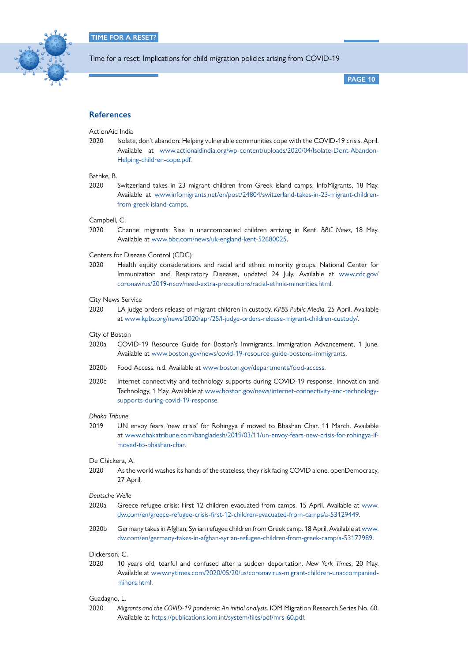

**PAGE 10**

# **References**

# ActionAid India

2020 Isolate, don't abandon: Helping vulnerable communities cope with the COVID-19 crisis. April. Available at [www.actionaidindia.org/wp-content/uploads/2020/04/Isolate-Dont-Abandon-](http://www.actionaidindia.org/wp-content/uploads/2020/04/Isolate-Dont-Abandon-Helping-children-cope.pdf)[Helping-children-cope.pdf](http://www.actionaidindia.org/wp-content/uploads/2020/04/Isolate-Dont-Abandon-Helping-children-cope.pdf).

#### Bathke, B.

2020 Switzerland takes in 23 migrant children from Greek island camps. InfoMigrants, 18 May. Available at [www.infomigrants.net/en/post/24804/switzerland-takes-in-23-migrant-children](http://www.infomigrants.net/en/post/24804/switzerland-takes-in-23-migrant-children-from-greek-island-camps)[from-greek-island-camps.](http://www.infomigrants.net/en/post/24804/switzerland-takes-in-23-migrant-children-from-greek-island-camps)

#### Campbell, C.

2020 Channel migrants: Rise in unaccompanied children arriving in Kent. *BBC News*, 18 May. Available at [www.bbc.com/news/uk-england-kent-52680025.](http://www.bbc.com/news/uk-england-kent-52680025)

# Centers for Disease Control (CDC)

2020 Health equity considerations and racial and ethnic minority groups. National Center for Immunization and Respiratory Diseases, updated 24 July. Available at [www.cdc.gov/](http://www.cdc.gov/coronavirus/2019-ncov/need-extra-precautions/racial-ethnic-minorities.html) [coronavirus/2019-ncov/need-extra-precautions/racial-ethnic-minorities.html.](http://www.cdc.gov/coronavirus/2019-ncov/need-extra-precautions/racial-ethnic-minorities.html)

#### City News Service

2020 LA judge orders release of migrant children in custody. *KPBS Public Media*, 25 April. Available at [www.kpbs.org/news/2020/apr/25/l-judge-orders-release-migrant-children-custody/.](http://www.kpbs.org/news/2020/apr/25/l-judge-orders-release-migrant-children-custody/)

#### City of Boston

- 2020a COVID-19 Resource Guide for Boston's Immigrants. Immigration Advancement, 1 June. Available at [www.boston.gov/news/covid-19-resource-guide-bostons-immigrants.](http://www.boston.gov/news/covid-19-resource-guide-bostons-immigrants)
- 2020b Food Access. n.d. Available at [www.boston.gov/departments/food-access.](http://www.boston.gov/departments/food-access)
- 2020c Internet connectivity and technology supports during COVID-19 response. Innovation and Technology, 1 May. Available at [www.boston.gov/news/internet-connectivity-and-technology](http://www.boston.gov/news/internet-connectivity-and-technology-supports-during-covid-19-response)[supports-during-covid-19-response.](http://www.boston.gov/news/internet-connectivity-and-technology-supports-during-covid-19-response)

#### *Dhaka Tribune*

2019 UN envoy fears 'new crisis' for Rohingya if moved to Bhashan Char. 11 March. Available at [www.dhakatribune.com/bangladesh/2019/03/11/un-envoy-fears-new-crisis-for-rohingya-if](http://www.dhakatribune.com/bangladesh/2019/03/11/un-envoy-fears-new-crisis-for-rohingya-if-moved-to-bhashan-char)[moved-to-bhashan-char.](http://www.dhakatribune.com/bangladesh/2019/03/11/un-envoy-fears-new-crisis-for-rohingya-if-moved-to-bhashan-char)

# De Chickera, A.

2020 As the world washes its hands of the stateless, they risk facing COVID alone. openDemocracy, 27 April.

#### *Deutsche Welle*

- 2020a Greece refugee crisis: First 12 children evacuated from camps. 15 April. Available at [www.](http://www.dw.com/en/greece-refugee-crisis-first-12-children-evacuated-from-camps/a-53129449) [dw.com/en/greece-refugee-crisis-first-12-children-evacuated-from-camps/a-53129449.](http://www.dw.com/en/greece-refugee-crisis-first-12-children-evacuated-from-camps/a-53129449)
- 2020b Germany takes in Afghan, Syrian refugee children from Greek camp. 18 April. Available at [www.](http://www.dw.com/en/germany-takes-in-afghan-syrian-refugee-children-from-greek-camp/a-53172989) [dw.com/en/germany-takes-in-afghan-syrian-refugee-children-from-greek-camp/a-53172989](http://www.dw.com/en/germany-takes-in-afghan-syrian-refugee-children-from-greek-camp/a-53172989).

## Dickerson, C.

2020 10 years old, tearful and confused after a sudden deportation. *New York Times*, 20 May. Available at [www.nytimes.com/2020/05/20/us/coronavirus-migrant-children-unaccompanied](http://www.nytimes.com/2020/05/20/us/coronavirus-migrant-children-unaccompanied-minors.html)[minors.html.](http://www.nytimes.com/2020/05/20/us/coronavirus-migrant-children-unaccompanied-minors.html)

#### Guadagno, L.

2020 *Migrants and the COVID-19 pandemic: An initial analysis*. IOM Migration Research Series No. 60. Available at [https://publications.iom.int/system/files/pdf/mrs-60.pdf.](https://publications.iom.int/system/files/pdf/mrs-60.pdf)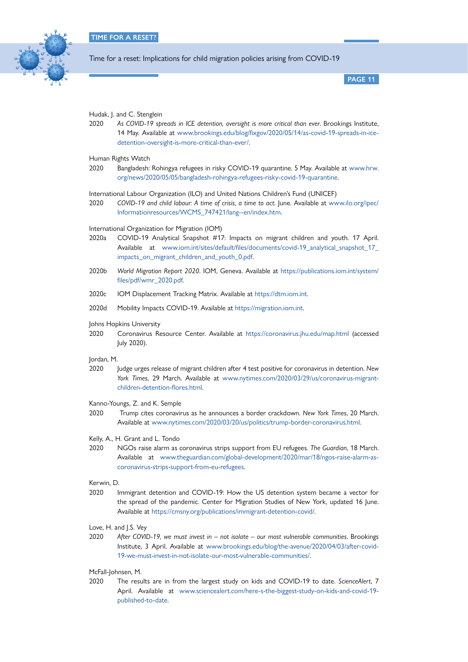

**PAGE 11**

#### Hudak, J. and C. Stenglein

2020 *As COVID-19 spreads in ICE detention, oversight is more critical than ever*. Brookings Institute, 14 May. Available at [www.brookings.edu/blog/fixgov/2020/05/14/as-covid-19-spreads-in-ice](http://www.brookings.edu/blog/fixgov/2020/05/14/as-covid-19-spreads-in-ice-detention-oversight-is-more-critical-than-ever/)[detention-oversight-is-more-critical-than-ever/.](http://www.brookings.edu/blog/fixgov/2020/05/14/as-covid-19-spreads-in-ice-detention-oversight-is-more-critical-than-ever/)

# Human Rights Watch

- 2020 Bangladesh: Rohingya refugees in risky COVID-19 quarantine. 5 May. Available at [www.hrw.](http://www.hrw.org/news/2020/05/05/bangladesh-rohingya-refugees-risky-covid-19-quarantine) [org/news/2020/05/05/bangladesh-rohingya-refugees-risky-covid-19-quarantine.](http://www.hrw.org/news/2020/05/05/bangladesh-rohingya-refugees-risky-covid-19-quarantine)
- International Labour Organization (ILO) and United Nations Children's Fund (UNICEF)
- 2020 *COVID-19 and child labour: A time of crisis, a time to act*. June. Available at [www.ilo.org/ipec/](http://www.ilo.org/ipec/Informationresources/WCMS_747421/lang--en/index.htm) [Informationresources/WCMS\\_747421/lang--en/index.htm](http://www.ilo.org/ipec/Informationresources/WCMS_747421/lang--en/index.htm).

#### International Organization for Migration (IOM)

- 2020a COVID-19 Analytical Snapshot #17: Impacts on migrant children and youth. 17 April. Available at [www.iom.int/sites/default/files/documents/covid-19\\_analytical\\_snapshot\\_17\\_](http://www.iom.int/sites/default/files/documents/covid-19_analytical_snapshot_17_impacts_on_migrant_children_and_youth_0.pdf) [impacts\\_on\\_migrant\\_children\\_and\\_youth\\_0.pdf](http://www.iom.int/sites/default/files/documents/covid-19_analytical_snapshot_17_impacts_on_migrant_children_and_youth_0.pdf).
- 2020b *World Migration Report 2020*. IOM, Geneva. Available at [https://publications.iom.int/system/](https://publications.iom.int/system/files/pdf/wmr_2020.pdf) [files/pdf/wmr\\_2020.pdf](https://publications.iom.int/system/files/pdf/wmr_2020.pdf).
- 2020c IOM Displacement Tracking Matrix. Available at [https://dtm.iom.int.](https://dtm.iom.int)
- 2020d Mobility Impacts COVID-19. Available at<https://migration.iom.int>.

## Johns Hopkins University

2020 Coronavirus Resource Center. Available at <https://coronavirus.jhu.edu/map.html> (accessed July 2020).

#### Jordan, M.

- 2020 Judge urges release of migrant children after 4 test positive for coronavirus in detention. *New York Times*, 29 March. Available at [www.nytimes.com/2020/03/29/us/coronavirus-migrant](http://www.nytimes.com/2020/03/29/us/coronavirus-migrant-children-detention-flores.html)[children-detention-flores.html](http://www.nytimes.com/2020/03/29/us/coronavirus-migrant-children-detention-flores.html).
- Kanno-Youngs, Z. and K. Semple
- 2020 Trump cites coronavirus as he announces a border crackdown. *New York Times*, 20 March. Available at [www.nytimes.com/2020/03/20/us/politics/trump-border-coronavirus.html](http://www.nytimes.com/2020/03/20/us/politics/trump-border-coronavirus.html).
- Kelly, A., H. Grant and L. Tondo
- 2020 NGOs raise alarm as coronavirus strips support from EU refugees. *The Guardian*, 18 March. Available at [www.theguardian.com/global-development/2020/mar/18/ngos-raise-alarm-as](http://www.theguardian.com/global-development/2020/mar/18/ngos-raise-alarm-as-coronavirus-strips-support-from-eu-refugees)[coronavirus-strips-support-from-eu-refugees.](http://www.theguardian.com/global-development/2020/mar/18/ngos-raise-alarm-as-coronavirus-strips-support-from-eu-refugees)

Kerwin, D.

- 2020 Immigrant detention and COVID-19: How the US detention system became a vector for the spread of the pandemic. Center for Migration Studies of New York, updated 16 June. Available at <https://cmsny.org/publications/immigrant-detention-covid/>.
- Love, H. and J.S. Vey
- 2020 *After COVID-19, we must invest in not isolate our most vulnerable communities*. Brookings Institute, 3 April. Available at [www.brookings.edu/blog/the-avenue/2020/04/03/after-covid-](http://www.brookings.edu/blog/the-avenue/2020/04/03/after-covid-19-we-must-invest-in-not-isolate-our-most-vulnerable-communities/)[19-we-must-invest-in-not-isolate-our-most-vulnerable-communities/](http://www.brookings.edu/blog/the-avenue/2020/04/03/after-covid-19-we-must-invest-in-not-isolate-our-most-vulnerable-communities/).

# McFall-Johnsen, M.

2020 The results are in from the largest study on kids and COVID-19 to date. *ScienceAlert*, 7 April. Available at [www.sciencealert.com/here-s-the-biggest-study-on-kids-and-covid-19](http://www.sciencealert.com/here-s-the-biggest-study-on-kids-and-covid-19-published-to-date) [published-to-date](http://www.sciencealert.com/here-s-the-biggest-study-on-kids-and-covid-19-published-to-date).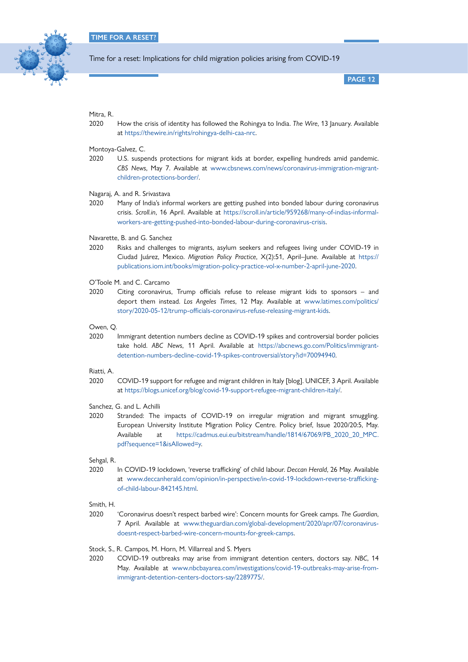

**PAGE 12**

## Mitra, R.

2020 How the crisis of identity has followed the Rohingya to India. *The Wire*, 13 January. Available at <https://thewire.in/rights/rohingya-delhi-caa-nrc>.

Montoya-Galvez, C.

2020 U.S. suspends protections for migrant kids at border, expelling hundreds amid pandemic. *CBS News*, May 7. Available at [www.cbsnews.com/news/coronavirus-immigration-migrant](http://www.cbsnews.com/news/coronavirus-immigration-migrant-children-protections-border/)[children-protections-border/.](http://www.cbsnews.com/news/coronavirus-immigration-migrant-children-protections-border/)

Nagaraj, A. and R. Srivastava

- 2020 Many of India's informal workers are getting pushed into bonded labour during coronavirus crisis. *Scroll.in*, 16 April. Available at [https://scroll.in/article/959268/many-of-indias-informal](https://scroll.in/article/959268/many-of-indias-informal-workers-are-getting-pushed-into-bonded-labour-during-coronavirus-crisis)[workers-are-getting-pushed-into-bonded-labour-during-coronavirus-crisis](https://scroll.in/article/959268/many-of-indias-informal-workers-are-getting-pushed-into-bonded-labour-during-coronavirus-crisis).
- Navarette, B. and G. Sanchez
- 2020 Risks and challenges to migrants, asylum seekers and refugees living under COVID-19 in Ciudad Juárez, Mexico. *Migration Policy Practice*, X(2):51, April–June. Available at [https://](https://publications.iom.int/books/migration-policy-practice-vol-x-number-2-april-june-2020) [publications.iom.int/books/migration-policy-practice-vol-x-number-2-april-june-2020.](https://publications.iom.int/books/migration-policy-practice-vol-x-number-2-april-june-2020)

O'Toole M. and C. Carcamo

2020 Citing coronavirus, Trump officials refuse to release migrant kids to sponsors – and deport them instead. *Los Angeles Times*, 12 May. Available at [www.latimes.com/politics/](http://www.latimes.com/politics/story/2020-05-12/trump-officials-coronavirus-refuse-releasing-migrant-kids) [story/2020-05-12/trump-officials-coronavirus-refuse-releasing-migrant-kids](http://www.latimes.com/politics/story/2020-05-12/trump-officials-coronavirus-refuse-releasing-migrant-kids).

Owen, Q.

2020 Immigrant detention numbers decline as COVID-19 spikes and controversial border policies take hold. *ABC News*, 11 April. Available at [https://abcnews.go.com/Politics/immigrant](https://abcnews.go.com/Politics/immigrant-detention-numbers-decline-covid-19-spikes-controversial/story?id=70094940)[detention-numbers-decline-covid-19-spikes-controversial/story?id=70094940.](https://abcnews.go.com/Politics/immigrant-detention-numbers-decline-covid-19-spikes-controversial/story?id=70094940)

Riatti, A.

2020 COVID-19 support for refugee and migrant children in Italy [blog]. UNICEF, 3 April. Available at <https://blogs.unicef.org/blog/covid-19-support-refugee-migrant-children-italy/>.

Sanchez, G. and L. Achilli

2020 Stranded: The impacts of COVID-19 on irregular migration and migrant smuggling. European University Institute Migration Policy Centre. Policy brief, Issue 2020/20:5, May. Available at [https://cadmus.eui.eu/bitstream/handle/1814/67069/PB\\_2020\\_20\\_MPC.](https://cadmus.eui.eu/bitstream/handle/1814/67069/PB_2020_20_MPC.pdf?sequence=1&isAllowed=y) [pdf?sequence=1&isAllowed=y.](https://cadmus.eui.eu/bitstream/handle/1814/67069/PB_2020_20_MPC.pdf?sequence=1&isAllowed=y)

Sehgal, R.

2020 In COVID-19 lockdown, 'reverse trafficking' of child labour. *Deccan Herald*, 26 May. Available at [www.deccanherald.com/opinion/in-perspective/in-covid-19-lockdown-reverse-trafficking](http://www.deccanherald.com/opinion/in-perspective/in-covid-19-lockdown-reverse-trafficking-of-child-labour-842145.html)[of-child-labour-842145.html](http://www.deccanherald.com/opinion/in-perspective/in-covid-19-lockdown-reverse-trafficking-of-child-labour-842145.html).

Smith, H.

2020 'Coronavirus doesn't respect barbed wire': Concern mounts for Greek camps. *The Guardian*, 7 April. Available at [www.theguardian.com/global-development/2020/apr/07/coronavirus](http://www.theguardian.com/global-development/2020/apr/07/coronavirus-doesnt-respect-barbed-wire-concern-mounts-for-greek-camps)[doesnt-respect-barbed-wire-concern-mounts-for-greek-camps.](http://www.theguardian.com/global-development/2020/apr/07/coronavirus-doesnt-respect-barbed-wire-concern-mounts-for-greek-camps)

Stock, S., R. Campos, M. Horn, M. Villarreal and S. Myers

2020 COVID-19 outbreaks may arise from immigrant detention centers, doctors say. *NBC*, 14 May. Available at [www.nbcbayarea.com/investigations/covid-19-outbreaks-may-arise-from](http://www.nbcbayarea.com/investigations/covid-19-outbreaks-may-arise-from-immigrant-detention-centers-doctors-say/2289775/)[immigrant-detention-centers-doctors-say/2289775/.](http://www.nbcbayarea.com/investigations/covid-19-outbreaks-may-arise-from-immigrant-detention-centers-doctors-say/2289775/)